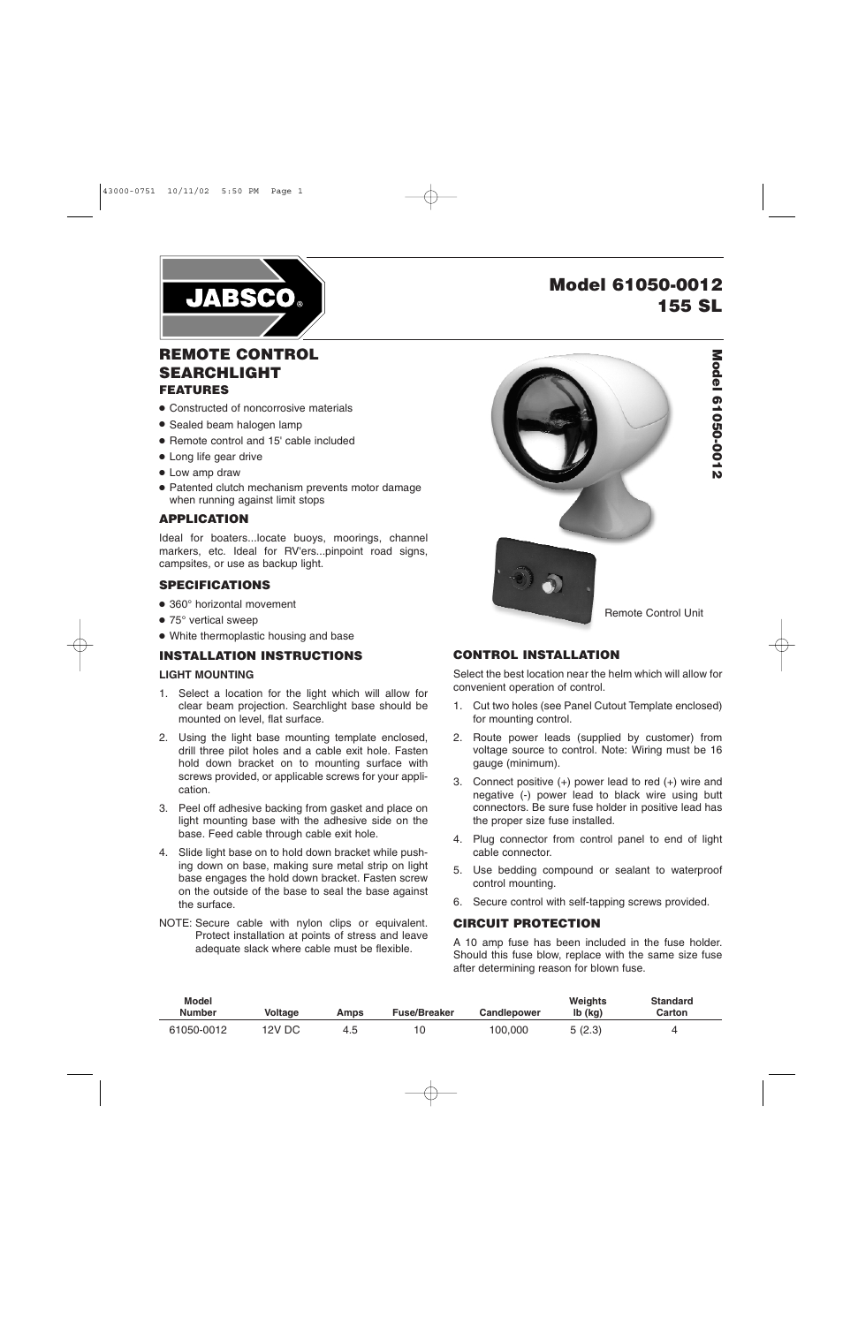

# **Model 61050-0012 155 SL**

## **REMOTE CONTROL SEARCHLIGHT FEATURES**

- Constructed of noncorrosive materials
- Sealed beam halogen lamp
- Remote control and 15' cable included
- Long life gear drive
- Low amp draw
- Patented clutch mechanism prevents motor damage when running against limit stops

### **APPLICATION**

Ideal for boaters...locate buoys, moorings, channel markers, etc. Ideal for RV'ers...pinpoint road signs, campsites, or use as backup light.

#### **SPECIFICATIONS**

- 360° horizontal movement
- 75° vertical sweep
- White thermoplastic housing and base

#### **INSTALLATION INSTRUCTIONS**

#### **LIGHT MOUNTING**

- 1. Select a location for the light which will allow for clear beam projection. Searchlight base should be mounted on level, flat surface.
- 2. Using the light base mounting template enclosed, drill three pilot holes and a cable exit hole. Fasten hold down bracket on to mounting surface with screws provided, or applicable screws for your application.
- 3. Peel off adhesive backing from gasket and place on light mounting base with the adhesive side on the base. Feed cable through cable exit hole.
- 4. Slide light base on to hold down bracket while pushing down on base, making sure metal strip on light base engages the hold down bracket. Fasten screw on the outside of the base to seal the base against the surface.
- NOTE: Secure cable with nylon clips or equivalent. Protect installation at points of stress and leave adequate slack where cable must be flexible.



## **CONTROL INSTALLATION**

Select the best location near the helm which will allow for convenient operation of control.

- 1. Cut two holes (see Panel Cutout Template enclosed) for mounting control.
- 2. Route power leads (supplied by customer) from voltage source to control. Note: Wiring must be 16 gauge (minimum).
- 3. Connect positive (+) power lead to red (+) wire and negative (-) power lead to black wire using butt connectors. Be sure fuse holder in positive lead has the proper size fuse installed.
- 4. Plug connector from control panel to end of light cable connector.
- 5. Use bedding compound or sealant to waterproof control mounting.
- 6. Secure control with self-tapping screws provided.

## **CIRCUIT PROTECTION**

A 10 amp fuse has been included in the fuse holder. Should this fuse blow, replace with the same size fuse after determining reason for blown fuse.

| <b>Model</b><br><b>Number</b> | Voltage | Amps | <b>Fuse/Breaker</b> | <b>Candlepower</b> | <b>Weights</b><br>lb (kg) | <b>Standard</b><br>Carton |
|-------------------------------|---------|------|---------------------|--------------------|---------------------------|---------------------------|
| 61050-0012                    | 12V DC  | 4.O  | 10                  | 100.000            | 5 (2.3)                   |                           |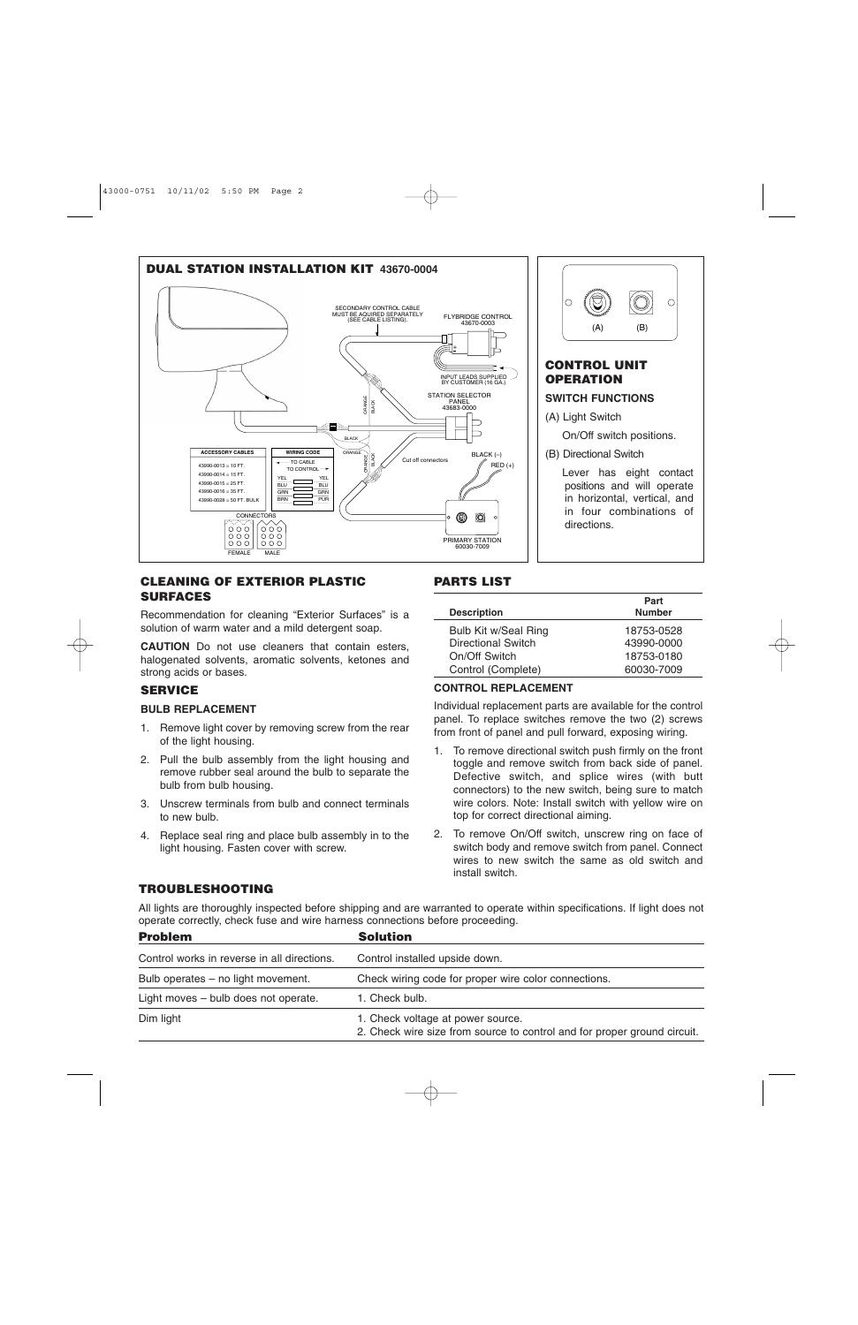



positions and will operate in horizontal, vertical, and in four combinations of directions.

#### **CLEANING OF EXTERIOR PLASTIC SURFACES**

Recommendation for cleaning "Exterior Surfaces" is a solution of warm water and a mild detergent soap.

**CAUTION** Do not use cleaners that contain esters, halogenated solvents, aromatic solvents, ketones and strong acids or bases.

#### **SERVICE**

#### **BULB REPLACEMENT**

- 1. Remove light cover by removing screw from the rear of the light housing.
- 2. Pull the bulb assembly from the light housing and remove rubber seal around the bulb to separate the bulb from bulb housing.
- 3. Unscrew terminals from bulb and connect terminals to new bulb.
- 4. Replace seal ring and place bulb assembly in to the light housing. Fasten cover with screw.

## **PARTS LIST**

|                           | Part          |
|---------------------------|---------------|
| <b>Description</b>        | <b>Number</b> |
| Bulb Kit w/Seal Ring      | 18753-0528    |
| <b>Directional Switch</b> | 43990-0000    |
| On/Off Switch             | 18753-0180    |
| Control (Complete)        | 60030-7009    |

#### **CONTROL REPLACEMENT**

Individual replacement parts are available for the control panel. To replace switches remove the two (2) screws from front of panel and pull forward, exposing wiring.

- 1. To remove directional switch push firmly on the front toggle and remove switch from back side of panel. Defective switch, and splice wires (with butt connectors) to the new switch, being sure to match wire colors. Note: Install switch with yellow wire on top for correct directional aiming.
- 2. To remove On/Off switch, unscrew ring on face of switch body and remove switch from panel. Connect wires to new switch the same as old switch and install switch.

## **TROUBLESHOOTING**

All lights are thoroughly inspected before shipping and are warranted to operate within specifications. If light does not operate correctly, check fuse and wire harness connections before proceeding.

| <b>Problem</b>                              | <b>Solution</b><br>Control installed upside down.                                                             |  |  |
|---------------------------------------------|---------------------------------------------------------------------------------------------------------------|--|--|
| Control works in reverse in all directions. |                                                                                                               |  |  |
| Bulb operates – no light movement.          | Check wiring code for proper wire color connections.                                                          |  |  |
| Light moves - bulb does not operate.        | 1. Check bulb.                                                                                                |  |  |
| Dim light                                   | 1. Check voltage at power source.<br>2. Check wire size from source to control and for proper ground circuit. |  |  |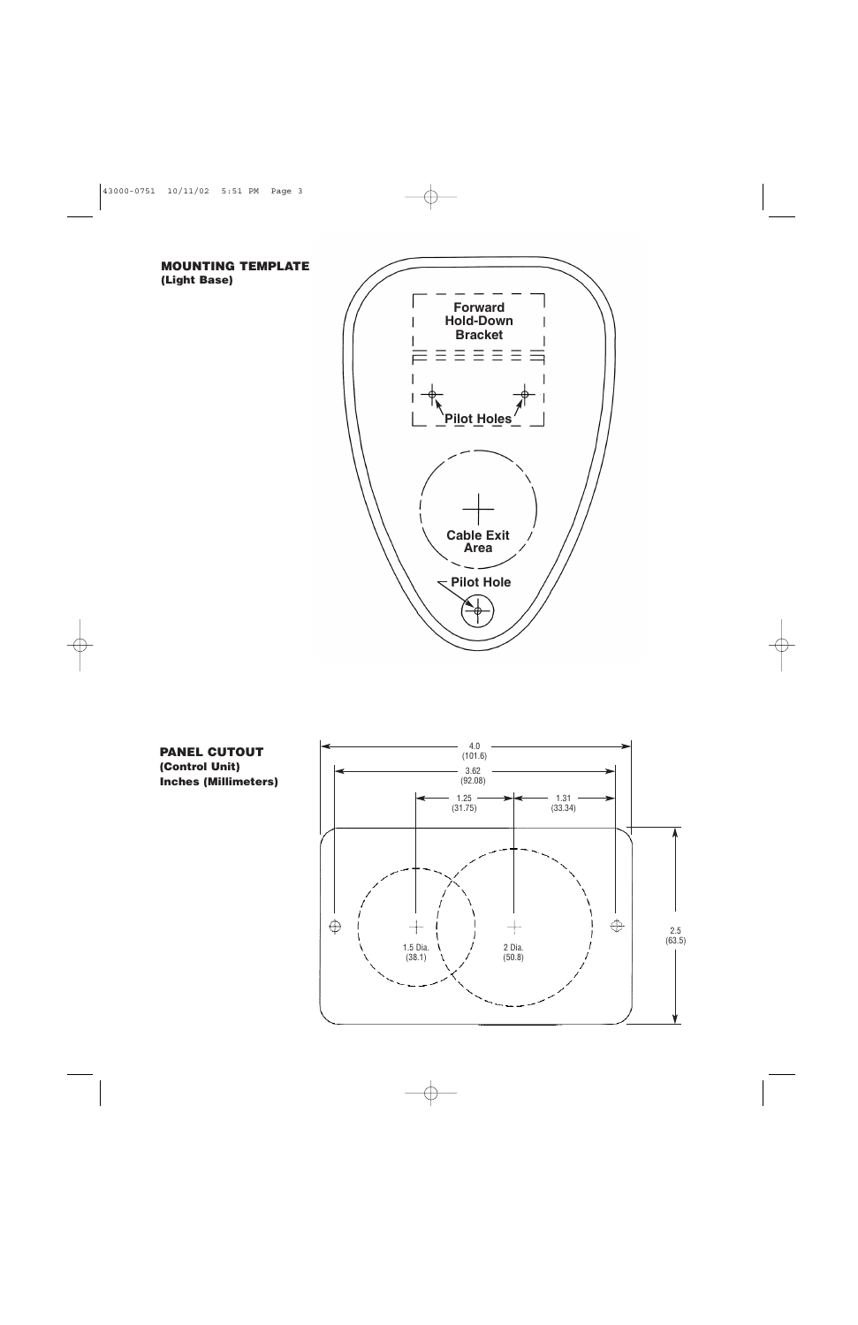